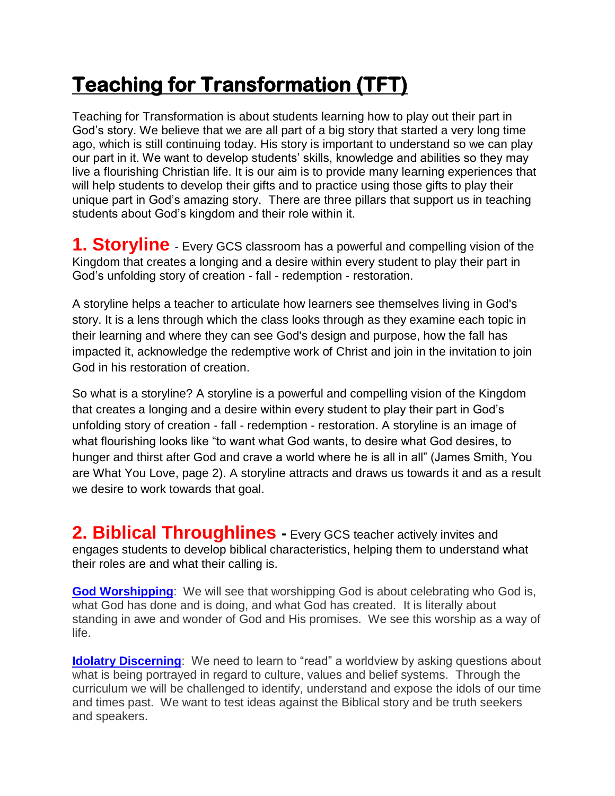## **Teaching for Transformation (TFT)**

Teaching for Transformation is about students learning how to play out their part in God's story. We believe that we are all part of a big story that started a very long time ago, which is still continuing today. His story is important to understand so we can play our part in it. We want to develop students' skills, knowledge and abilities so they may live a flourishing Christian life. It is our aim is to provide many learning experiences that will help students to develop their gifts and to practice using those gifts to play their unique part in God's amazing story. There are three pillars that support us in teaching students about God's kingdom and their role within it.

**1. Storyline** - Every GCS classroom has a powerful and compelling vision of the Kingdom that creates a longing and a desire within every student to play their part in God's unfolding story of creation - fall - redemption - restoration.

A storyline helps a teacher to articulate how learners see themselves living in God's story. It is a lens through which the class looks through as they examine each topic in their learning and where they can see God's design and purpose, how the fall has impacted it, acknowledge the redemptive work of Christ and join in the invitation to join God in his restoration of creation.

So what is a storyline? A storyline is a powerful and compelling vision of the Kingdom that creates a longing and a desire within every student to play their part in God's unfolding story of creation - fall - redemption - restoration. A storyline is an image of what flourishing looks like "to want what God wants, to desire what God desires, to hunger and thirst after God and crave a world where he is all in all" (James Smith, You are What You Love, page 2). A storyline attracts and draws us towards it and as a result we desire to work towards that goal.

**2. Biblical Throughlines -** Every GCS teacher actively invites and engages students to develop biblical characteristics, helping them to understand what their roles are and what their calling is.

**God Worshipping**: We will see that worshipping God is about celebrating who God is, what God has done and is doing, and what God has created. It is literally about standing in awe and wonder of God and His promises. We see this worship as a way of life.

**Idolatry Discerning**: We need to learn to "read" a worldview by asking questions about what is being portrayed in regard to culture, values and belief systems. Through the curriculum we will be challenged to identify, understand and expose the idols of our time and times past. We want to test ideas against the Biblical story and be truth seekers and speakers.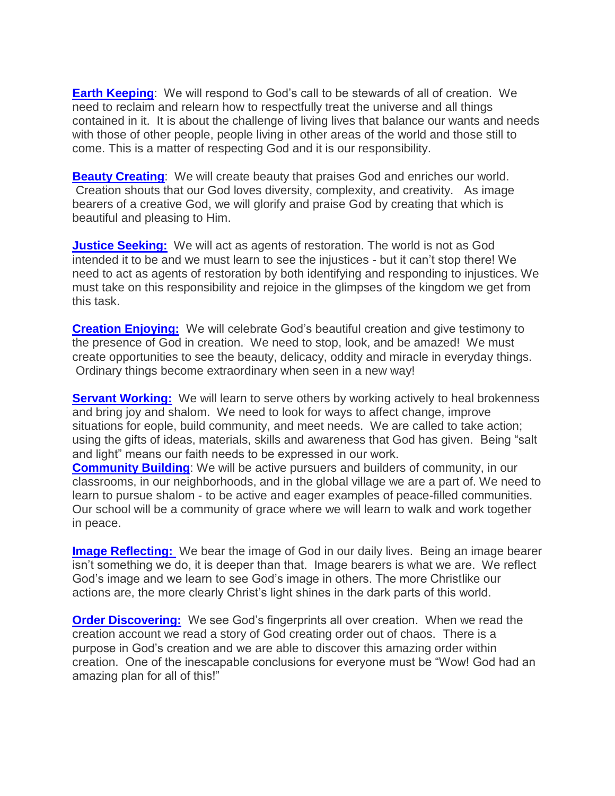**Earth Keeping**: We will respond to God's call to be stewards of all of creation. We need to reclaim and relearn how to respectfully treat the universe and all things contained in it. It is about the challenge of living lives that balance our wants and needs with those of other people, people living in other areas of the world and those still to come. This is a matter of respecting God and it is our responsibility.

**Beauty Creating:** We will create beauty that praises God and enriches our world. Creation shouts that our God loves diversity, complexity, and creativity. As image bearers of a creative God, we will glorify and praise God by creating that which is beautiful and pleasing to Him.

**Justice Seeking:** We will act as agents of restoration. The world is not as God intended it to be and we must learn to see the injustices - but it can't stop there! We need to act as agents of restoration by both identifying and responding to injustices. We must take on this responsibility and rejoice in the glimpses of the kingdom we get from this task.

**Creation Enjoying:** We will celebrate God's beautiful creation and give testimony to the presence of God in creation. We need to stop, look, and be amazed! We must create opportunities to see the beauty, delicacy, oddity and miracle in everyday things. Ordinary things become extraordinary when seen in a new way!

**Servant Working:** We will learn to serve others by working actively to heal brokenness and bring joy and shalom. We need to look for ways to affect change, improve situations for eople, build community, and meet needs. We are called to take action; using the gifts of ideas, materials, skills and awareness that God has given. Being "salt and light" means our faith needs to be expressed in our work.

**Community Building**: We will be active pursuers and builders of community, in our classrooms, in our neighborhoods, and in the global village we are a part of. We need to learn to pursue shalom - to be active and eager examples of peace-filled communities. Our school will be a community of grace where we will learn to walk and work together in peace.

**Image Reflecting:** We bear the image of God in our daily lives. Being an image bearer isn't something we do, it is deeper than that. Image bearers is what we are. We reflect God's image and we learn to see God's image in others. The more Christlike our actions are, the more clearly Christ's light shines in the dark parts of this world.

**Order Discovering:** We see God's fingerprints all over creation. When we read the creation account we read a story of God creating order out of chaos. There is a purpose in God's creation and we are able to discover this amazing order within creation. One of the inescapable conclusions for everyone must be "Wow! God had an amazing plan for all of this!"